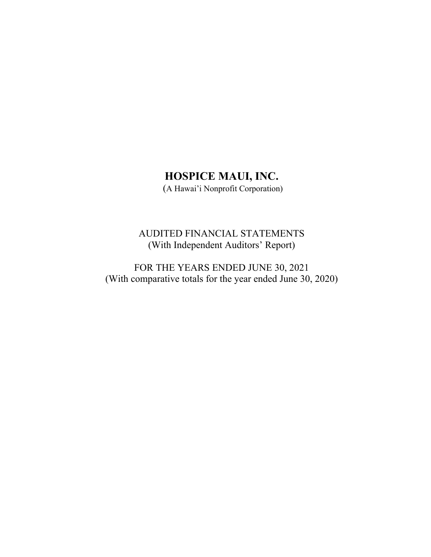(A Hawai'i Nonprofit Corporation)

AUDITED FINANCIAL STATEMENTS (With Independent Auditors' Report)

FOR THE YEARS ENDED JUNE 30, 2021 (With comparative totals for the year ended June 30, 2020)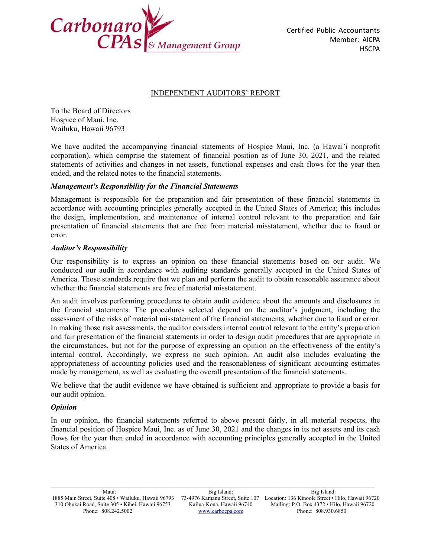

# INDEPENDENT AUDITORS' REPORT

To the Board of Directors Hospice of Maui, Inc. Wailuku, Hawaii 96793

We have audited the accompanying financial statements of Hospice Maui, Inc. (a Hawai'i nonprofit corporation), which comprise the statement of financial position as of June 30, 2021, and the related statements of activities and changes in net assets, functional expenses and cash flows for the year then ended, and the related notes to the financial statements.

## *Management's Responsibility for the Financial Statements*

Management is responsible for the preparation and fair presentation of these financial statements in accordance with accounting principles generally accepted in the United States of America; this includes the design, implementation, and maintenance of internal control relevant to the preparation and fair presentation of financial statements that are free from material misstatement, whether due to fraud or error.

# *Auditor's Responsibility*

Our responsibility is to express an opinion on these financial statements based on our audit. We conducted our audit in accordance with auditing standards generally accepted in the United States of America. Those standards require that we plan and perform the audit to obtain reasonable assurance about whether the financial statements are free of material misstatement.

An audit involves performing procedures to obtain audit evidence about the amounts and disclosures in the financial statements. The procedures selected depend on the auditor's judgment, including the assessment of the risks of material misstatement of the financial statements, whether due to fraud or error. In making those risk assessments, the auditor considers internal control relevant to the entity's preparation and fair presentation of the financial statements in order to design audit procedures that are appropriate in the circumstances, but not for the purpose of expressing an opinion on the effectiveness of the entity's internal control. Accordingly, we express no such opinion. An audit also includes evaluating the appropriateness of accounting policies used and the reasonableness of significant accounting estimates made by management, as well as evaluating the overall presentation of the financial statements.

We believe that the audit evidence we have obtained is sufficient and appropriate to provide a basis for our audit opinion.

## *Opinion*

In our opinion, the financial statements referred to above present fairly, in all material respects, the financial position of Hospice Maui, Inc. as of June 30, 2021 and the changes in its net assets and its cash flows for the year then ended in accordance with accounting principles generally accepted in the United States of America.

 $\mathcal{L}_\mathcal{L} = \{ \mathcal{L}_\mathcal{L} = \{ \mathcal{L}_\mathcal{L} = \{ \mathcal{L}_\mathcal{L} = \{ \mathcal{L}_\mathcal{L} = \{ \mathcal{L}_\mathcal{L} = \{ \mathcal{L}_\mathcal{L} = \{ \mathcal{L}_\mathcal{L} = \{ \mathcal{L}_\mathcal{L} = \{ \mathcal{L}_\mathcal{L} = \{ \mathcal{L}_\mathcal{L} = \{ \mathcal{L}_\mathcal{L} = \{ \mathcal{L}_\mathcal{L} = \{ \mathcal{L}_\mathcal{L} = \{ \mathcal{L}_\mathcal{$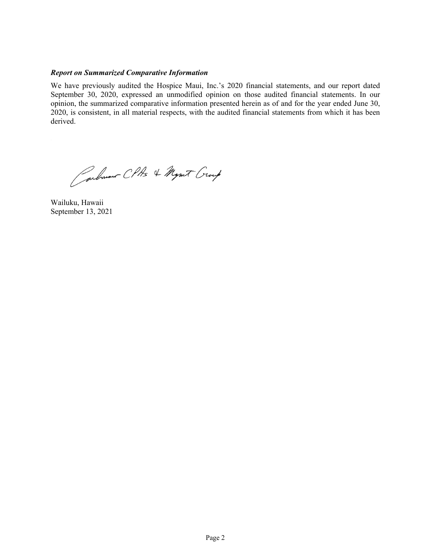#### *Report on Summarized Comparative Information*

We have previously audited the Hospice Maui, Inc.'s 2020 financial statements, and our report dated September 30, 2020, expressed an unmodified opinion on those audited financial statements. In our opinion, the summarized comparative information presented herein as of and for the year ended June 30, 2020, is consistent, in all material respects, with the audited financial statements from which it has been derived.

Carlmon CPAs & Mynt Croup

Wailuku, Hawaii September 13, 2021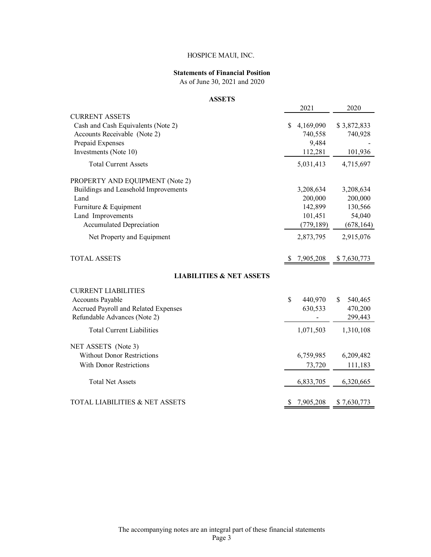#### **Statements of Financial Position**

As of June 30, 2021 and 2020

#### **ASSETS**

|                                      |    | 2021       | 2020          |
|--------------------------------------|----|------------|---------------|
| <b>CURRENT ASSETS</b>                |    |            |               |
| Cash and Cash Equivalents (Note 2)   | S. | 4,169,090  | \$3,872,833   |
| Accounts Receivable (Note 2)         |    | 740,558    | 740,928       |
| Prepaid Expenses                     |    | 9,484      |               |
| Investments (Note 10)                |    | 112,281    | 101,936       |
| <b>Total Current Assets</b>          |    | 5,031,413  | 4,715,697     |
| PROPERTY AND EQUIPMENT (Note 2)      |    |            |               |
| Buildings and Leasehold Improvements |    | 3,208,634  | 3,208,634     |
| Land                                 |    | 200,000    | 200,000       |
| Furniture & Equipment                |    | 142,899    | 130,566       |
| Land Improvements                    |    | 101,451    | 54,040        |
| <b>Accumulated Depreciation</b>      |    | (779, 189) | (678, 164)    |
| Net Property and Equipment           |    | 2,873,795  | 2,915,076     |
| <b>TOTAL ASSETS</b>                  | S. | 7,905,208  | \$7,630,773   |
| <b>LIABILITIES &amp; NET ASSETS</b>  |    |            |               |
| <b>CURRENT LIABILITIES</b>           |    |            |               |
| <b>Accounts Payable</b>              | \$ | 440,970    | \$<br>540,465 |
| Accrued Payroll and Related Expenses |    | 630,533    | 470,200       |
| Refundable Advances (Note 2)         |    |            | 299,443       |
| <b>Total Current Liabilities</b>     |    | 1,071,503  | 1,310,108     |
| NET ASSETS (Note 3)                  |    |            |               |
| <b>Without Donor Restrictions</b>    |    | 6,759,985  | 6,209,482     |
| <b>With Donor Restrictions</b>       |    | 73,720     | 111,183       |
| <b>Total Net Assets</b>              |    | 6,833,705  | 6,320,665     |
|                                      |    |            |               |
| TOTAL LIABILITIES & NET ASSETS       |    | 7,905,208  | \$7,630,773   |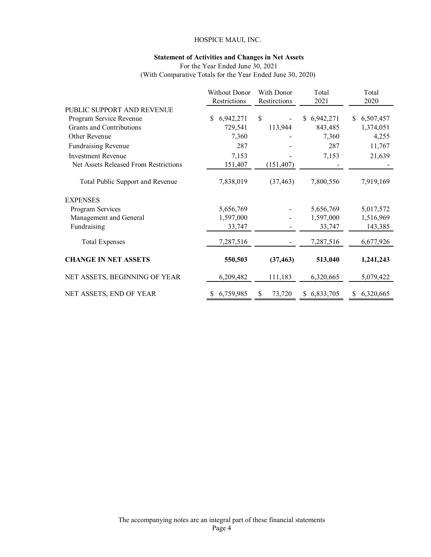# **Statement of Activities and Changes in Net Assets**

(With Comparative Totals for the Year Ended June 30, 2020) For the Year Ended June 30, 2021

|                                       | Without Donor   | With Donor                   | Total                     | Total           |
|---------------------------------------|-----------------|------------------------------|---------------------------|-----------------|
|                                       | Restrictions    | Restirctions                 | 2021                      | 2020            |
| PUBLIC SUPPORT AND REVENUE            |                 |                              |                           |                 |
| Program Service Revenue               | 6,942,271<br>S  | \$                           | 6,942,271<br><sup>S</sup> | 6,507,457<br>S. |
| Grants and Contributions              | 729,541         | 113,944                      | 843,485                   | 1,374,051       |
| Other Revenue                         | 7,360           |                              | 7,360                     | 4,255           |
| <b>Fundraising Revenue</b>            | 287             |                              | 287                       | 11,767          |
| <b>Investment Revenue</b>             | 7,153           |                              | 7,153                     | 21,639          |
| Net Assets Released From Restrictions | 151,407         | (151, 407)                   |                           |                 |
| Total Public Support and Revenue      | 7,838,019       | (37, 463)                    | 7,800,556                 | 7,919,169       |
| <b>EXPENSES</b>                       |                 |                              |                           |                 |
| Program Services                      | 5,656,769       |                              | 5,656,769                 | 5,017,572       |
| Management and General                | 1,597,000       |                              | 1,597,000                 | 1,516,969       |
| Fundraising                           | 33,747          | $\qquad \qquad \blacksquare$ | 33,747                    | 143,385         |
| <b>Total Expenses</b>                 | 7,287,516       |                              | 7,287,516                 | 6,677,926       |
| <b>CHANGE IN NET ASSETS</b>           | 550,503         | (37, 463)                    | 513,040                   | 1,241,243       |
| NET ASSETS, BEGINNING OF YEAR         | 6,209,482       | 111,183                      | 6,320,665                 | 5,079,422       |
| NET ASSETS, END OF YEAR               | 6,759,985<br>\$ | \$<br>73,720                 | \$6,833,705               | 6,320,665<br>\$ |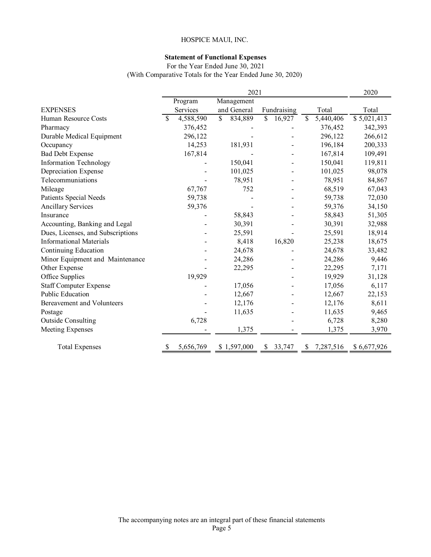# **Statement of Functional Expenses**

For the Year Ended June 30, 2021 (With Comparative Totals for the Year Ended June 30, 2020)

| 2021                              |   |                       |               |              |    |           | 2020        |
|-----------------------------------|---|-----------------------|---------------|--------------|----|-----------|-------------|
|                                   |   | Management<br>Program |               |              |    |           |             |
| <b>EXPENSES</b>                   |   | Services              | and General   | Fundraising  |    | Total     | Total       |
| Human Resource Costs              | S | 4,588,590             | \$<br>834,889 | \$<br>16,927 | \$ | 5,440,406 | \$5,021,413 |
| Pharmacy                          |   | 376,452               |               |              |    | 376,452   | 342,393     |
| Durable Medical Equipment         |   | 296,122               |               |              |    | 296,122   | 266,612     |
| Occupancy                         |   | 14,253                | 181,931       |              |    | 196,184   | 200,333     |
| <b>Bad Debt Expense</b>           |   | 167,814               |               |              |    | 167,814   | 109,491     |
| <b>Information Technology</b>     |   |                       | 150,041       |              |    | 150,041   | 119,811     |
| Depreciation Expense              |   |                       | 101,025       |              |    | 101,025   | 98,078      |
| Telecommuniations                 |   |                       | 78,951        |              |    | 78,951    | 84,867      |
| Mileage                           |   | 67,767                | 752           |              |    | 68,519    | 67,043      |
| Patients Special Needs            |   | 59,738                |               |              |    | 59,738    | 72,030      |
| <b>Ancillary Services</b>         |   | 59,376                |               |              |    | 59,376    | 34,150      |
| Insurance                         |   |                       | 58,843        |              |    | 58,843    | 51,305      |
| Accounting, Banking and Legal     |   |                       | 30,391        |              |    | 30,391    | 32,988      |
| Dues, Licenses, and Subscriptions |   |                       | 25,591        |              |    | 25,591    | 18,914      |
| <b>Informational Materials</b>    |   |                       | 8,418         | 16,820       |    | 25,238    | 18,675      |
| Continuing Education              |   |                       | 24,678        |              |    | 24,678    | 33,482      |
| Minor Equipment and Maintenance   |   |                       | 24,286        |              |    | 24,286    | 9,446       |
| Other Expense                     |   |                       | 22,295        |              |    | 22,295    | 7,171       |
| Office Supplies                   |   | 19,929                |               |              |    | 19,929    | 31,128      |
| <b>Staff Computer Expense</b>     |   |                       | 17,056        |              |    | 17,056    | 6,117       |
| <b>Public Education</b>           |   |                       | 12,667        |              |    | 12,667    | 22,153      |
| Bereavement and Volunteers        |   |                       | 12,176        |              |    | 12,176    | 8,611       |
| Postage                           |   |                       | 11,635        |              |    | 11,635    | 9,465       |
| <b>Outside Consulting</b>         |   | 6,728                 |               |              |    | 6,728     | 8,280       |
| Meeting Expenses                  |   |                       | 1,375         |              |    | 1,375     | 3,970       |
| <b>Total Expenses</b>             | S | 5,656,769             | \$1,597,000   | \$<br>33,747 | \$ | 7,287,516 | \$6,677,926 |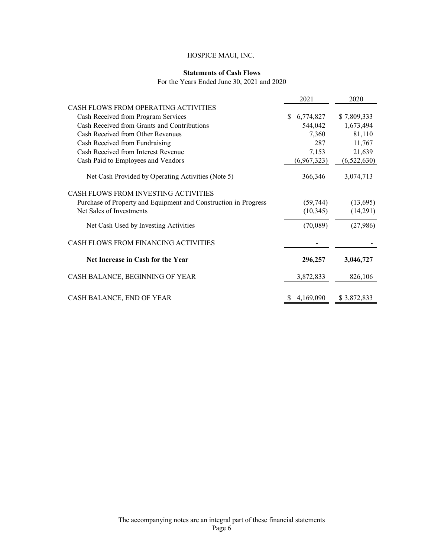# **Statements of Cash Flows**

For the Years Ended June 30, 2021 and 2020

|                                                                 | 2021             | 2020        |
|-----------------------------------------------------------------|------------------|-------------|
| CASH FLOWS FROM OPERATING ACTIVITIES                            |                  |             |
| Cash Received from Program Services                             | \$.<br>6,774,827 | \$7,809,333 |
| Cash Received from Grants and Contributions                     | 544,042          | 1,673,494   |
| Cash Received from Other Revenues                               | 7,360            | 81,110      |
| Cash Received from Fundraising                                  | 287              | 11,767      |
| Cash Received from Interest Revenue                             | 7,153            | 21,639      |
| Cash Paid to Employees and Vendors                              | (6,967,323)      | (6,522,630) |
| Net Cash Provided by Operating Activities (Note 5)              | 366,346          | 3,074,713   |
| CASH FLOWS FROM INVESTING ACTIVITIES                            |                  |             |
| Purchase of Property and Equipment and Construction in Progress | (59, 744)        | (13,695)    |
| Net Sales of Investments                                        | (10, 345)        | (14,291)    |
| Net Cash Used by Investing Activities                           | (70,089)         | (27,986)    |
| CASH FLOWS FROM FINANCING ACTIVITIES                            |                  |             |
| Net Increase in Cash for the Year                               | 296,257          | 3,046,727   |
| CASH BALANCE, BEGINNING OF YEAR                                 | 3,872,833        | 826,106     |
| CASH BALANCE, END OF YEAR                                       | 4,169,090        | \$3,872,833 |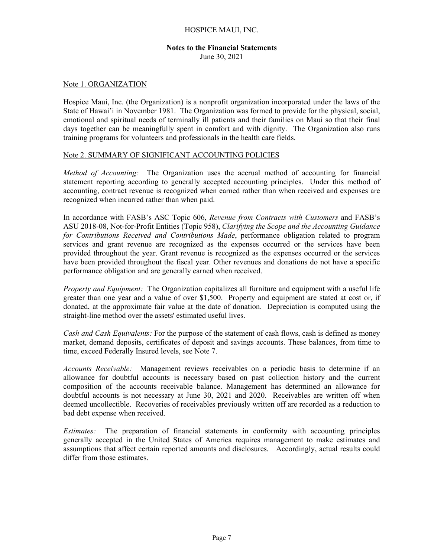## **Notes to the Financial Statements**

June 30, 2021

#### Note 1. ORGANIZATION

Hospice Maui, Inc. (the Organization) is a nonprofit organization incorporated under the laws of the State of Hawai'i in November 1981. The Organization was formed to provide for the physical, social, emotional and spiritual needs of terminally ill patients and their families on Maui so that their final days together can be meaningfully spent in comfort and with dignity. The Organization also runs training programs for volunteers and professionals in the health care fields.

## Note 2. SUMMARY OF SIGNIFICANT ACCOUNTING POLICIES

*Method of Accounting:* The Organization uses the accrual method of accounting for financial statement reporting according to generally accepted accounting principles. Under this method of accounting, contract revenue is recognized when earned rather than when received and expenses are recognized when incurred rather than when paid.

In accordance with FASB's ASC Topic 606, *Revenue from Contracts with Customers* and FASB's ASU 2018-08, Not-for-Profit Entities (Topic 958), *Clarifying the Scope and the Accounting Guidance for Contributions Received and Contributions Made*, performance obligation related to program services and grant revenue are recognized as the expenses occurred or the services have been provided throughout the year. Grant revenue is recognized as the expenses occurred or the services have been provided throughout the fiscal year. Other revenues and donations do not have a specific performance obligation and are generally earned when received.

*Property and Equipment:* The Organization capitalizes all furniture and equipment with a useful life greater than one year and a value of over \$1,500. Property and equipment are stated at cost or, if donated, at the approximate fair value at the date of donation. Depreciation is computed using the straight-line method over the assets' estimated useful lives.

*Cash and Cash Equivalents:* For the purpose of the statement of cash flows, cash is defined as money market, demand deposits, certificates of deposit and savings accounts. These balances, from time to time, exceed Federally Insured levels, see Note 7.

*Accounts Receivable:* Management reviews receivables on a periodic basis to determine if an allowance for doubtful accounts is necessary based on past collection history and the current composition of the accounts receivable balance. Management has determined an allowance for doubtful accounts is not necessary at June 30, 2021 and 2020. Receivables are written off when deemed uncollectible. Recoveries of receivables previously written off are recorded as a reduction to bad debt expense when received.

*Estimates:* The preparation of financial statements in conformity with accounting principles generally accepted in the United States of America requires management to make estimates and assumptions that affect certain reported amounts and disclosures. Accordingly, actual results could differ from those estimates.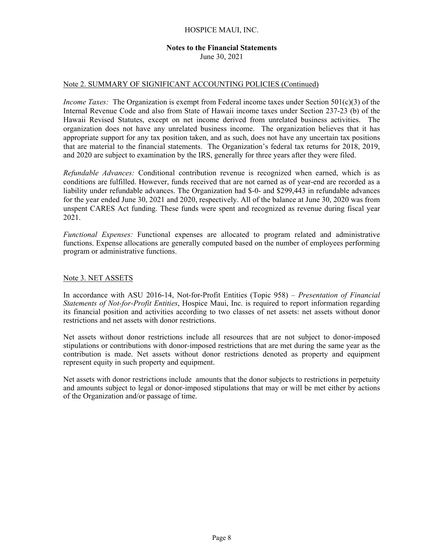#### **Notes to the Financial Statements**

June 30, 2021

#### Note 2. SUMMARY OF SIGNIFICANT ACCOUNTING POLICIES (Continued)

*Income Taxes:* The Organization is exempt from Federal income taxes under Section 501(c)(3) of the Internal Revenue Code and also from State of Hawaii income taxes under Section 237-23 (b) of the Hawaii Revised Statutes, except on net income derived from unrelated business activities. The organization does not have any unrelated business income. The organization believes that it has appropriate support for any tax position taken, and as such, does not have any uncertain tax positions that are material to the financial statements. The Organization's federal tax returns for 2018, 2019, and 2020 are subject to examination by the IRS, generally for three years after they were filed.

*Refundable Advances:* Conditional contribution revenue is recognized when earned, which is as conditions are fulfilled. However, funds received that are not earned as of year-end are recorded as a liability under refundable advances. The Organization had \$-0- and \$299,443 in refundable advances for the year ended June 30, 2021 and 2020, respectively. All of the balance at June 30, 2020 was from unspent CARES Act funding. These funds were spent and recognized as revenue during fiscal year 2021.

*Functional Expenses:* Functional expenses are allocated to program related and administrative functions. Expense allocations are generally computed based on the number of employees performing program or administrative functions.

#### Note 3. NET ASSETS

In accordance with ASU 2016-14, Not-for-Profit Entities (Topic 958) – *Presentation of Financial Statements of Not-for-Profit Entities*, Hospice Maui, Inc. is required to report information regarding its financial position and activities according to two classes of net assets: net assets without donor restrictions and net assets with donor restrictions.

Net assets without donor restrictions include all resources that are not subject to donor-imposed stipulations or contributions with donor-imposed restrictions that are met during the same year as the contribution is made. Net assets without donor restrictions denoted as property and equipment represent equity in such property and equipment.

Net assets with donor restrictions include amounts that the donor subjects to restrictions in perpetuity and amounts subject to legal or donor-imposed stipulations that may or will be met either by actions of the Organization and/or passage of time.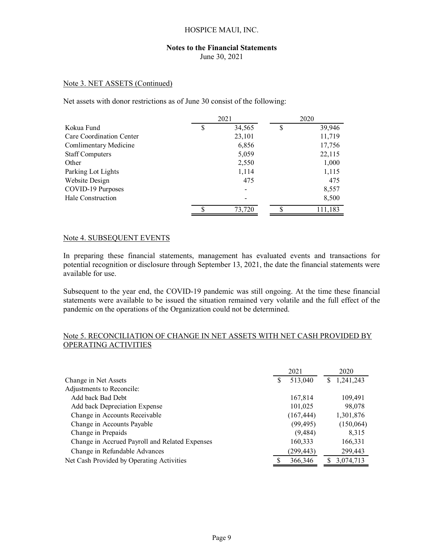#### **Notes to the Financial Statements**

June 30, 2021

#### Note 3. NET ASSETS (Continued)

Net assets with donor restrictions as of June 30 consist of the following:

|                          |   | 2021   | 2020 |         |  |
|--------------------------|---|--------|------|---------|--|
| Kokua Fund               | S | 34,565 | S    | 39,946  |  |
| Care Coordination Center |   | 23,101 |      | 11,719  |  |
| Comlimentary Medicine    |   | 6,856  |      | 17,756  |  |
| <b>Staff Computers</b>   |   | 5,059  |      | 22,115  |  |
| Other                    |   | 2,550  |      | 1,000   |  |
| Parking Lot Lights       |   | 1,114  |      | 1,115   |  |
| Website Design           |   | 475    |      | 475     |  |
| COVID-19 Purposes        |   |        |      | 8,557   |  |
| Hale Construction        |   |        |      | 8,500   |  |
|                          |   | 73,720 |      | 111,183 |  |

## Note 4. SUBSEQUENT EVENTS

In preparing these financial statements, management has evaluated events and transactions for potential recognition or disclosure through September 13, 2021, the date the financial statements were available for use.

Subsequent to the year end, the COVID-19 pandemic was still ongoing. At the time these financial statements were available to be issued the situation remained very volatile and the full effect of the pandemic on the operations of the Organization could not be determined.

#### Note 5. RECONCILIATION OF CHANGE IN NET ASSETS WITH NET CASH PROVIDED BY OPERATING ACTIVITIES

|                                                |   | 2021       |   | 2020       |
|------------------------------------------------|---|------------|---|------------|
| Change in Net Assets                           | S | 513,040    | S | 1,241,243  |
| Adjustments to Reconcile:                      |   |            |   |            |
| Add back Bad Debt                              |   | 167,814    |   | 109,491    |
| Add back Depreciation Expense                  |   | 101,025    |   | 98,078     |
| Change in Accounts Receivable                  |   | (167, 444) |   | 1,301,876  |
| Change in Accounts Payable                     |   | (99, 495)  |   | (150, 064) |
| Change in Prepaids                             |   | (9, 484)   |   | 8,315      |
| Change in Accrued Payroll and Related Expenses |   | 160,333    |   | 166,331    |
| Change in Refundable Advances                  |   | (299, 443) |   | 299,443    |
| Net Cash Provided by Operating Activities      |   | 366,346    |   | 3,074,713  |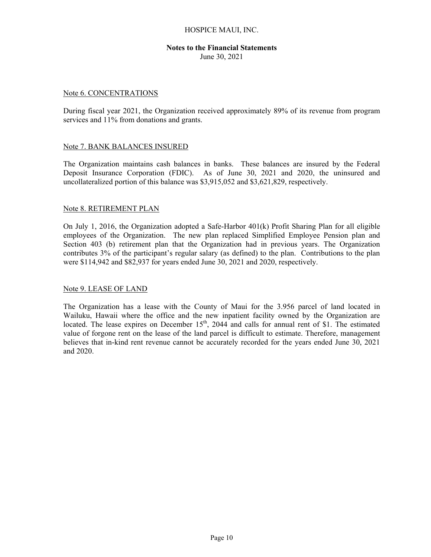# **Notes to the Financial Statements**

June 30, 2021

#### Note 6. CONCENTRATIONS

During fiscal year 2021, the Organization received approximately 89% of its revenue from program services and 11% from donations and grants.

# Note 7. BANK BALANCES INSURED

The Organization maintains cash balances in banks. These balances are insured by the Federal Deposit Insurance Corporation (FDIC). As of June 30, 2021 and 2020, the uninsured and uncollateralized portion of this balance was \$3,915,052 and \$3,621,829, respectively.

#### Note 8. RETIREMENT PLAN

On July 1, 2016, the Organization adopted a Safe-Harbor 401(k) Profit Sharing Plan for all eligible employees of the Organization. The new plan replaced Simplified Employee Pension plan and Section 403 (b) retirement plan that the Organization had in previous years. The Organization contributes 3% of the participant's regular salary (as defined) to the plan. Contributions to the plan were \$114,942 and \$82,937 for years ended June 30, 2021 and 2020, respectively.

#### Note 9. LEASE OF LAND

The Organization has a lease with the County of Maui for the 3.956 parcel of land located in Wailuku, Hawaii where the office and the new inpatient facility owned by the Organization are located. The lease expires on December  $15<sup>th</sup>$ , 2044 and calls for annual rent of \$1. The estimated value of forgone rent on the lease of the land parcel is difficult to estimate. Therefore, management believes that in-kind rent revenue cannot be accurately recorded for the years ended June 30, 2021 and 2020.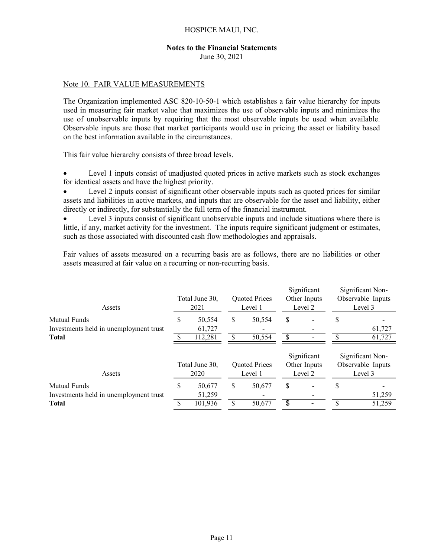#### **Notes to the Financial Statements**

June 30, 2021

#### Note 10. FAIR VALUE MEASUREMENTS

The Organization implemented ASC 820-10-50-1 which establishes a fair value hierarchy for inputs used in measuring fair market value that maximizes the use of observable inputs and minimizes the use of unobservable inputs by requiring that the most observable inputs be used when available. Observable inputs are those that market participants would use in pricing the asset or liability based on the best information available in the circumstances.

This fair value hierarchy consists of three broad levels.

Level 1 inputs consist of unadjusted quoted prices in active markets such as stock exchanges for identical assets and have the highest priority.

**•** Level 2 inputs consist of significant other observable inputs such as quoted prices for similar assets and liabilities in active markets, and inputs that are observable for the asset and liability, either directly or indirectly, for substantially the full term of the financial instrument.

Level 3 inputs consist of significant unobservable inputs and include situations where there is little, if any, market activity for the investment. The inputs require significant judgment or estimates, such as those associated with discounted cash flow methodologies and appraisals.

Fair values of assets measured on a recurring basis are as follows, there are no liabilities or other assets measured at fair value on a recurring or non-recurring basis.

| Assets                                                                 | Total June 30,<br>2021 |                             |                                 |                  |                                        |  | <b>Quoted Prices</b><br>Level 1                  |                  | Significant<br>Other Inputs<br>Level 2 |  |  | Significant Non-<br>Observable Inputs<br>Level 3 |
|------------------------------------------------------------------------|------------------------|-----------------------------|---------------------------------|------------------|----------------------------------------|--|--------------------------------------------------|------------------|----------------------------------------|--|--|--------------------------------------------------|
| Mutual Funds<br>Investments held in unemployment trust<br><b>Total</b> | S                      | 50,554<br>61,727<br>112,281 | \$                              | 50,554<br>50,554 | S<br>\$                                |  | S                                                | 61,727<br>61,727 |                                        |  |  |                                                  |
| Assets                                                                 |                        | Total June 30,<br>2020      | <b>Quoted Prices</b><br>Level 1 |                  | Significant<br>Other Inputs<br>Level 2 |  | Significant Non-<br>Observable Inputs<br>Level 3 |                  |                                        |  |  |                                                  |
| Mutual Funds<br>Investments held in unemployment trust<br><b>Total</b> | S                      | 50,677<br>51,259<br>101,936 | \$                              | 50,677<br>50,677 | S<br>\$                                |  | S                                                | 51,259<br>51,259 |                                        |  |  |                                                  |